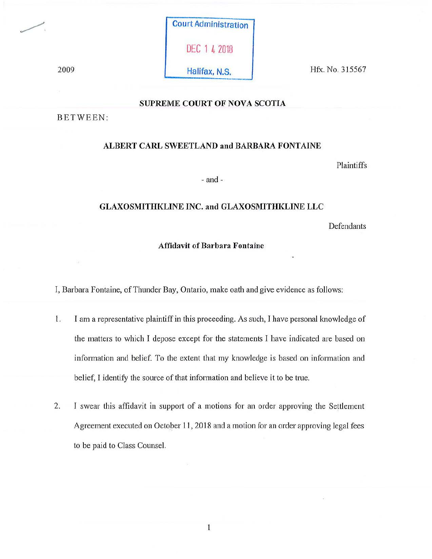Court Administration DEC 1 4 2018

2009 Halifax, N.S. Hfx. No. 315567

# **SUPREME COURT OF NOVA SCOTIA**

BETWEEN:

#### **ALBERT CARL SWEETLAND and BARBARA FONTAINE**

Plaintiffs

- and -

## **GLAXOSMITHKLINE INC. and GLAXOSMITHKLINE LLC**

**Defendants** 

## **Affidavit of Barbara Fontaiue**

I, Barbara Fontaine, of Thunder Bay, Ontario, make oath and give evidence as follows:

- I. I am a representative plaintiff in this proceeding. As such, I have personal knowledge of the matters to which I depose except for the statements I have indicated are based on information and belief. To the extent that my knowledge is based on information and belief, I identify the source of that information and believe it to be true.
- 2. I swear this affidavit in support of a motions for an order approving the Settlement Agreement executed on October 11, 2018 and a motion for an order approving legal fees to be paid to Class Counsel.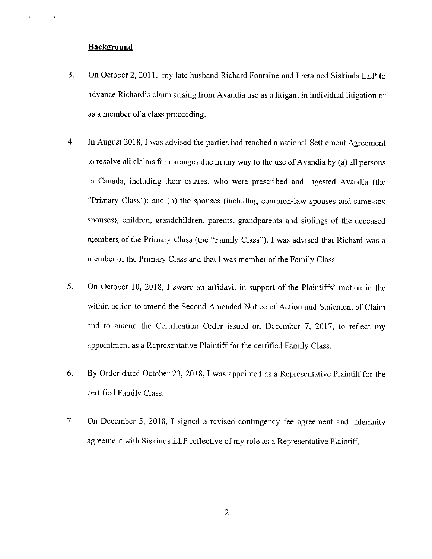# **Background**

- 3. On October 2, 2011, my late husband Richard Fontaine and I retained Siskinds LLP to advance Richard's claim arising from Avandia use as a litigant in individual litigation or as a member of a class proceeding.
- 4. In August 2018, I was advised the parties had reached a national Settlement Agreement to resolve all claims for damages due in any way to the use of Avandia by (a) all persons in Canada, including their estates, who were prescribed and ingested Avandia (the "Primary Class"); and (b) the spouses (including common-law spouses and same-sex spouses), children, grandchildren, parents, grandparents and siblings of the deceased members. of the Primary Class (the "Family Class"). I was advised that Richard was a member of the Primary Class and that I was member of the Family Class.
- 5. On October 10, 2018, I swore an affidavit in support of the Plaintiffs' motion in the within action to amend the Second Amended Notice of Action and Statement of Claim and to amend the Certification Order issued on December 7, 2017, to reflect my appointment as a Representative Plaintiff for the certified Family Class.
- 6. By Order dated October 23, 2018, I was appointed as a Representative Plaintiff for the certified Family Class.
- 7. On December 5, 2018, I signed a revised contingency fee agreement and indemnity agreement with Siskinds LLP reflective of my role as a Representative Plaintiff.